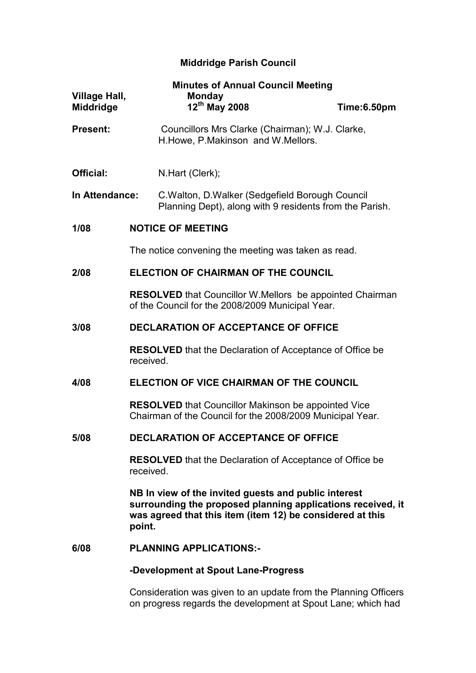# Middridge Parish Council

| <b>Village Hall,</b><br><b>Middridge</b>         | <b>Minutes of Annual Council Meeting</b><br><b>Monday</b><br>12th May 2008                                                                                                                 | Time:6.50pm |  |
|--------------------------------------------------|--------------------------------------------------------------------------------------------------------------------------------------------------------------------------------------------|-------------|--|
| <b>Present:</b>                                  | Councillors Mrs Clarke (Chairman); W.J. Clarke,<br>H. Howe, P. Makinson and W. Mellors.                                                                                                    |             |  |
| Official:                                        | N.Hart (Clerk);                                                                                                                                                                            |             |  |
| In Attendance:                                   | C. Walton, D. Walker (Sedgefield Borough Council<br>Planning Dept), along with 9 residents from the Parish.                                                                                |             |  |
| 1/08                                             | <b>NOTICE OF MEETING</b>                                                                                                                                                                   |             |  |
|                                                  | The notice convening the meeting was taken as read.                                                                                                                                        |             |  |
| 2/08                                             | <b>ELECTION OF CHAIRMAN OF THE COUNCIL</b>                                                                                                                                                 |             |  |
|                                                  | <b>RESOLVED</b> that Councillor W. Mellors be appointed Chairman<br>of the Council for the 2008/2009 Municipal Year.                                                                       |             |  |
| 3/08                                             | <b>DECLARATION OF ACCEPTANCE OF OFFICE</b>                                                                                                                                                 |             |  |
|                                                  | <b>RESOLVED</b> that the Declaration of Acceptance of Office be<br>received.                                                                                                               |             |  |
| ELECTION OF VICE CHAIRMAN OF THE COUNCIL<br>4/08 |                                                                                                                                                                                            |             |  |
|                                                  | <b>RESOLVED</b> that Councillor Makinson be appointed Vice<br>Chairman of the Council for the 2008/2009 Municipal Year.                                                                    |             |  |
| 5/08                                             | <b>DECLARATION OF ACCEPTANCE OF OFFICE</b>                                                                                                                                                 |             |  |
|                                                  | <b>RESOLVED</b> that the Declaration of Acceptance of Office be<br>received.                                                                                                               |             |  |
|                                                  | NB In view of the invited guests and public interest<br>surrounding the proposed planning applications received, it<br>was agreed that this item (item 12) be considered at this<br>point. |             |  |
| 6/08                                             | <b>PLANNING APPLICATIONS:-</b>                                                                                                                                                             |             |  |
|                                                  | -Development at Spout Lane-Progress                                                                                                                                                        |             |  |

Consideration was given to an update from the Planning Officers on progress regards the development at Spout Lane; which had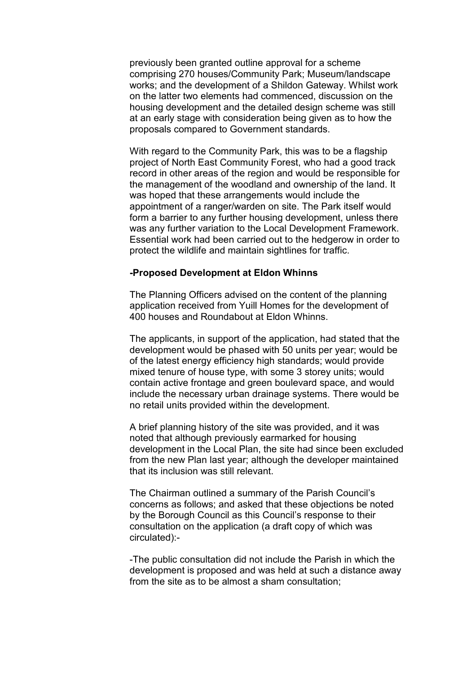previously been granted outline approval for a scheme comprising 270 houses/Community Park; Museum/landscape works; and the development of a Shildon Gateway. Whilst work on the latter two elements had commenced, discussion on the housing development and the detailed design scheme was still at an early stage with consideration being given as to how the proposals compared to Government standards.

 With regard to the Community Park, this was to be a flagship project of North East Community Forest, who had a good track record in other areas of the region and would be responsible for the management of the woodland and ownership of the land. It was hoped that these arrangements would include the appointment of a ranger/warden on site. The Park itself would form a barrier to any further housing development, unless there was any further variation to the Local Development Framework. Essential work had been carried out to the hedgerow in order to protect the wildlife and maintain sightlines for traffic.

## -Proposed Development at Eldon Whinns

 The Planning Officers advised on the content of the planning application received from Yuill Homes for the development of 400 houses and Roundabout at Eldon Whinns.

 The applicants, in support of the application, had stated that the development would be phased with 50 units per year; would be of the latest energy efficiency high standards; would provide mixed tenure of house type, with some 3 storey units; would contain active frontage and green boulevard space, and would include the necessary urban drainage systems. There would be no retail units provided within the development.

 A brief planning history of the site was provided, and it was noted that although previously earmarked for housing development in the Local Plan, the site had since been excluded from the new Plan last year; although the developer maintained that its inclusion was still relevant.

 The Chairman outlined a summary of the Parish Council's concerns as follows; and asked that these objections be noted by the Borough Council as this Council's response to their consultation on the application (a draft copy of which was circulated):-

-The public consultation did not include the Parish in which the development is proposed and was held at such a distance away from the site as to be almost a sham consultation;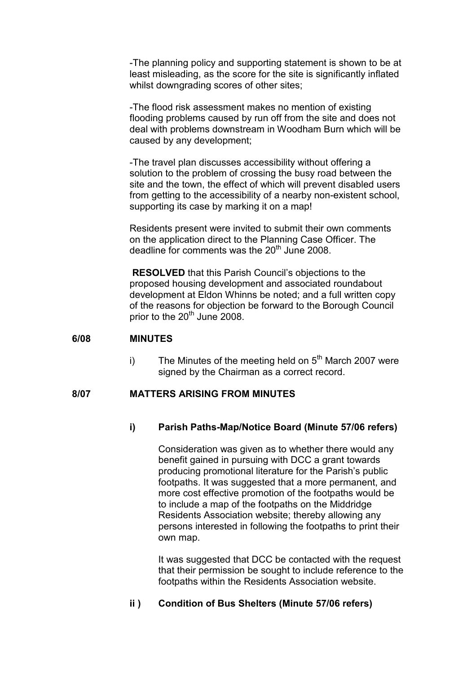-The planning policy and supporting statement is shown to be at least misleading, as the score for the site is significantly inflated whilst downgrading scores of other sites;

-The flood risk assessment makes no mention of existing flooding problems caused by run off from the site and does not deal with problems downstream in Woodham Burn which will be caused by any development;

-The travel plan discusses accessibility without offering a solution to the problem of crossing the busy road between the site and the town, the effect of which will prevent disabled users from getting to the accessibility of a nearby non-existent school, supporting its case by marking it on a map!

Residents present were invited to submit their own comments on the application direct to the Planning Case Officer. The deadline for comments was the  $20^{th}$  June 2008.

 RESOLVED that this Parish Council's objections to the proposed housing development and associated roundabout development at Eldon Whinns be noted; and a full written copy of the reasons for objection be forward to the Borough Council prior to the 20<sup>th</sup> June 2008.

## 6/08 MINUTES

i) The Minutes of the meeting held on  $5<sup>th</sup>$  March 2007 were signed by the Chairman as a correct record.

## 8/07 MATTERS ARISING FROM MINUTES

## i) Parish Paths-Map/Notice Board (Minute 57/06 refers)

 Consideration was given as to whether there would any benefit gained in pursuing with DCC a grant towards producing promotional literature for the Parish's public footpaths. It was suggested that a more permanent, and more cost effective promotion of the footpaths would be to include a map of the footpaths on the Middridge Residents Association website; thereby allowing any persons interested in following the footpaths to print their own map.

 It was suggested that DCC be contacted with the request that their permission be sought to include reference to the footpaths within the Residents Association website.

## ii ) Condition of Bus Shelters (Minute 57/06 refers)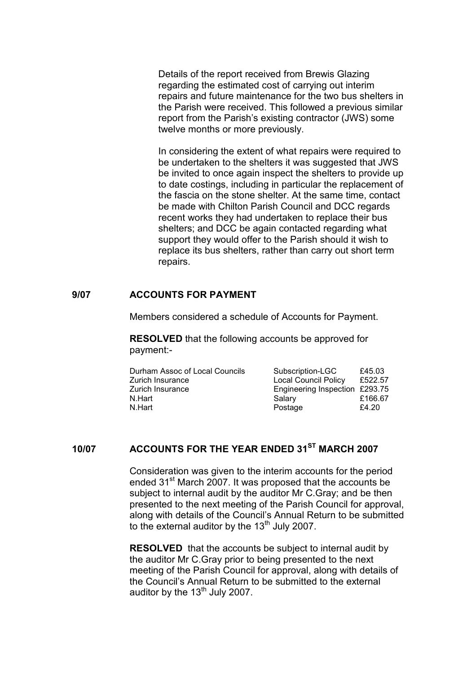Details of the report received from Brewis Glazing regarding the estimated cost of carrying out interim repairs and future maintenance for the two bus shelters in the Parish were received. This followed a previous similar report from the Parish's existing contractor (JWS) some twelve months or more previously.

In considering the extent of what repairs were required to be undertaken to the shelters it was suggested that JWS be invited to once again inspect the shelters to provide up to date costings, including in particular the replacement of the fascia on the stone shelter. At the same time, contact be made with Chilton Parish Council and DCC regards recent works they had undertaken to replace their bus shelters; and DCC be again contacted regarding what support they would offer to the Parish should it wish to replace its bus shelters, rather than carry out short term repairs.

## 9/07 ACCOUNTS FOR PAYMENT

Members considered a schedule of Accounts for Payment.

RESOLVED that the following accounts be approved for payment:-

| Durham Assoc of Local Councils |        | Subscription-LGC               | £45.03  |
|--------------------------------|--------|--------------------------------|---------|
| Zurich Insurance               |        | <b>Local Council Policy</b>    | £522.57 |
| Zurich Insurance               |        | Engineering Inspection £293.75 |         |
| N.Hart                         | Salary |                                | £166.67 |
| N.Hart                         |        | Postage                        | £4.20   |
|                                |        |                                |         |

## 10/07 ACCOUNTS FOR THE YEAR ENDED 31<sup>ST</sup> MARCH 2007

Consideration was given to the interim accounts for the period ended 31<sup>st</sup> March 2007. It was proposed that the accounts be subject to internal audit by the auditor Mr C.Gray; and be then presented to the next meeting of the Parish Council for approval, along with details of the Council's Annual Return to be submitted to the external auditor by the  $13<sup>th</sup>$  July 2007.

RESOLVED that the accounts be subject to internal audit by the auditor Mr C.Gray prior to being presented to the next meeting of the Parish Council for approval, along with details of the Council's Annual Return to be submitted to the external auditor by the  $13<sup>th</sup>$  July 2007.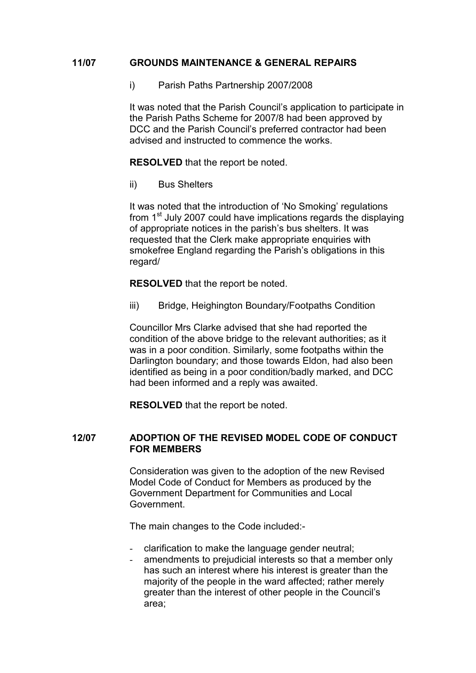## 11/07 GROUNDS MAINTENANCE & GENERAL REPAIRS

i) Parish Paths Partnership 2007/2008

 It was noted that the Parish Council's application to participate in the Parish Paths Scheme for 2007/8 had been approved by DCC and the Parish Council's preferred contractor had been advised and instructed to commence the works.

RESOLVED that the report be noted.

ii) Bus Shelters

It was noted that the introduction of 'No Smoking' regulations from 1<sup>st</sup> July 2007 could have implications regards the displaying of appropriate notices in the parish's bus shelters. It was requested that the Clerk make appropriate enquiries with smokefree England regarding the Parish's obligations in this regard/

RESOLVED that the report be noted.

iii) Bridge, Heighington Boundary/Footpaths Condition

Councillor Mrs Clarke advised that she had reported the condition of the above bridge to the relevant authorities; as it was in a poor condition. Similarly, some footpaths within the Darlington boundary; and those towards Eldon, had also been identified as being in a poor condition/badly marked, and DCC had been informed and a reply was awaited.

RESOLVED that the report be noted.

## 12/07 ADOPTION OF THE REVISED MODEL CODE OF CONDUCT FOR MEMBERS

Consideration was given to the adoption of the new Revised Model Code of Conduct for Members as produced by the Government Department for Communities and Local Government.

The main changes to the Code included:-

- clarification to make the language gender neutral;
- amendments to prejudicial interests so that a member only has such an interest where his interest is greater than the majority of the people in the ward affected; rather merely greater than the interest of other people in the Council's area;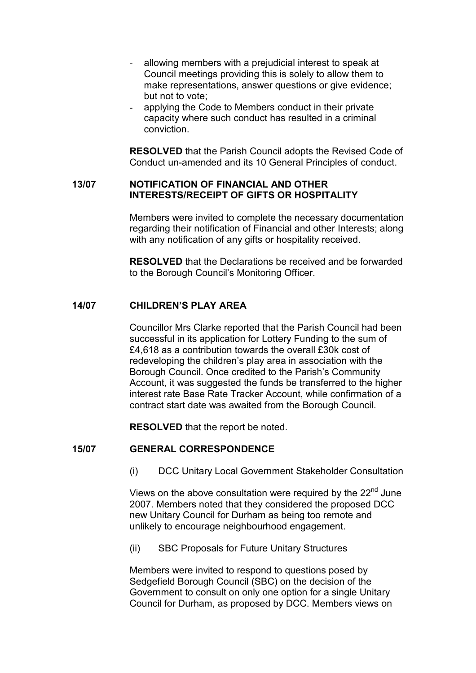- allowing members with a prejudicial interest to speak at Council meetings providing this is solely to allow them to make representations, answer questions or give evidence; but not to vote;
- applying the Code to Members conduct in their private capacity where such conduct has resulted in a criminal conviction.

RESOLVED that the Parish Council adopts the Revised Code of Conduct un-amended and its 10 General Principles of conduct.

## 13/07 NOTIFICATION OF FINANCIAL AND OTHER INTERESTS/RECEIPT OF GIFTS OR HOSPITALITY

Members were invited to complete the necessary documentation regarding their notification of Financial and other Interests; along with any notification of any gifts or hospitality received.

RESOLVED that the Declarations be received and be forwarded to the Borough Council's Monitoring Officer.

## 14/07 CHILDREN'S PLAY AREA

Councillor Mrs Clarke reported that the Parish Council had been successful in its application for Lottery Funding to the sum of £4,618 as a contribution towards the overall £30k cost of redeveloping the children's play area in association with the Borough Council. Once credited to the Parish's Community Account, it was suggested the funds be transferred to the higher interest rate Base Rate Tracker Account, while confirmation of a contract start date was awaited from the Borough Council.

RESOLVED that the report be noted.

## 15/07 GENERAL CORRESPONDENCE

(i) DCC Unitary Local Government Stakeholder Consultation

Views on the above consultation were required by the 22<sup>nd</sup> June 2007. Members noted that they considered the proposed DCC new Unitary Council for Durham as being too remote and unlikely to encourage neighbourhood engagement.

(ii) SBC Proposals for Future Unitary Structures

Members were invited to respond to questions posed by Sedgefield Borough Council (SBC) on the decision of the Government to consult on only one option for a single Unitary Council for Durham, as proposed by DCC. Members views on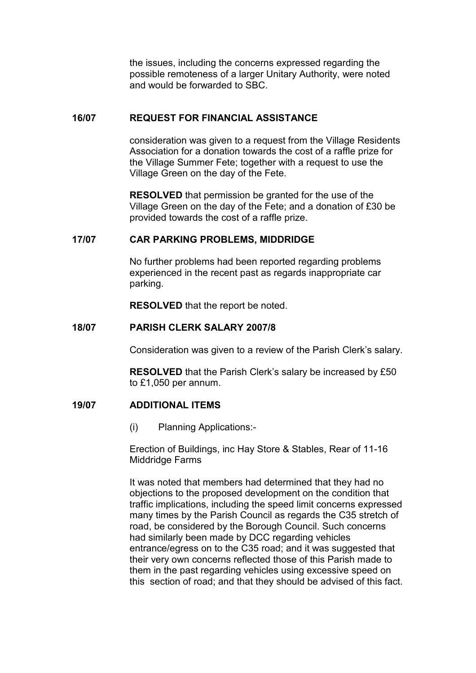the issues, including the concerns expressed regarding the possible remoteness of a larger Unitary Authority, were noted and would be forwarded to SBC.

## 16/07 REQUEST FOR FINANCIAL ASSISTANCE

consideration was given to a request from the Village Residents Association for a donation towards the cost of a raffle prize for the Village Summer Fete; together with a request to use the Village Green on the day of the Fete.

RESOLVED that permission be granted for the use of the Village Green on the day of the Fete; and a donation of £30 be provided towards the cost of a raffle prize.

## 17/07 CAR PARKING PROBLEMS, MIDDRIDGE

No further problems had been reported regarding problems experienced in the recent past as regards inappropriate car parking.

RESOLVED that the report be noted.

## 18/07 PARISH CLERK SALARY 2007/8

Consideration was given to a review of the Parish Clerk's salary.

RESOLVED that the Parish Clerk's salary be increased by £50 to £1,050 per annum.

## 19/07 ADDITIONAL ITEMS

(i) Planning Applications:-

Erection of Buildings, inc Hay Store & Stables, Rear of 11-16 Middridge Farms

It was noted that members had determined that they had no objections to the proposed development on the condition that traffic implications, including the speed limit concerns expressed many times by the Parish Council as regards the C35 stretch of road, be considered by the Borough Council. Such concerns had similarly been made by DCC regarding vehicles entrance/egress on to the C35 road; and it was suggested that their very own concerns reflected those of this Parish made to them in the past regarding vehicles using excessive speed on this section of road; and that they should be advised of this fact.